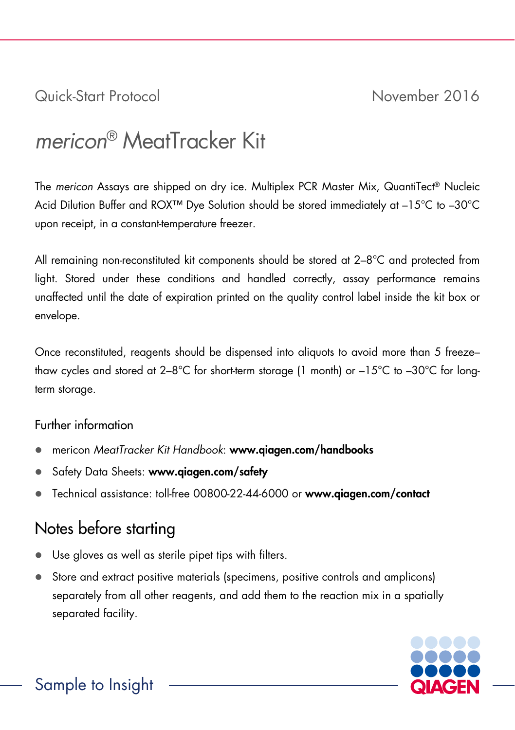Quick-Start Protocol November 2016

# *mericon*® MeatTracker Kit

The *mericon* Assays are shipped on dry ice. Multiplex PCR Master Mix, QuantiTect® Nucleic Acid Dilution Buffer and ROX™ Dye Solution should be stored immediately at –15°C to –30°C upon receipt, in a constant-temperature freezer.

All remaining non-reconstituted kit components should be stored at 2–8°C and protected from light. Stored under these conditions and handled correctly, assay performance remains unaffected until the date of expiration printed on the quality control label inside the kit box or envelope.

Once reconstituted, reagents should be dispensed into aliquots to avoid more than 5 freeze– thaw cycles and stored at 2–8°C for short-term storage (1 month) or –15°C to –30°C for longterm storage.

## Further information

- mericon *MeatTracker Kit Handbook*: www.qiagen.com/handbooks
- Safety Data Sheets: www.qiagen.com/safety
- Technical assistance: toll-free 00800-22-44-6000 or www.qiagen.com/contact

## Notes before starting

- Use gloves as well as sterile pipet tips with filters.
- Store and extract positive materials (specimens, positive controls and amplicons) separately from all other reagents, and add them to the reaction mix in a spatially separated facility.

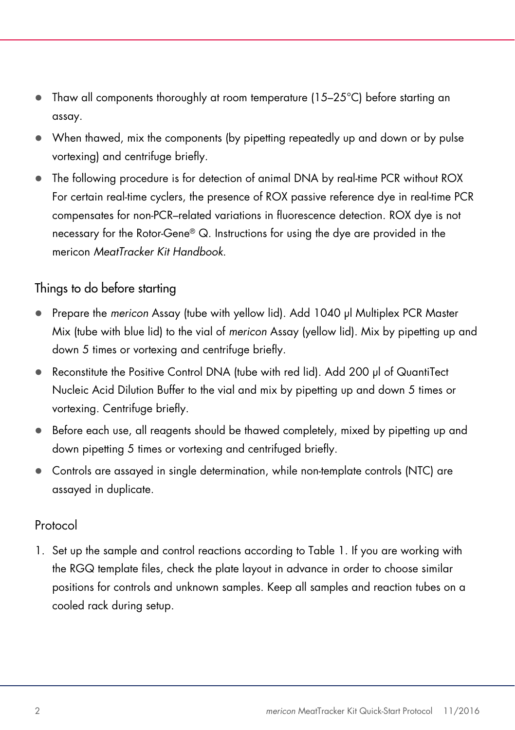- Thaw all components thoroughly at room temperature (15–25°C) before starting an assay.
- When thawed, mix the components (by pipetting repeatedly up and down or by pulse vortexing) and centrifuge briefly.
- The following procedure is for detection of animal DNA by real-time PCR without ROX For certain real-time cyclers, the presence of ROX passive reference dye in real-time PCR compensates for non-PCR–related variations in fluorescence detection. ROX dye is not necessary for the Rotor-Gene® Q. Instructions for using the dye are provided in the mericon *MeatTracker Kit Handbook*.

## Things to do before starting

- Prepare the *mericon* Assay (tube with yellow lid). Add 1040 µl Multiplex PCR Master Mix (tube with blue lid) to the vial of *mericon* Assay (yellow lid). Mix by pipetting up and down 5 times or vortexing and centrifuge briefly.
- Reconstitute the Positive Control DNA (tube with red lid). Add 200 µl of QuantiTect Nucleic Acid Dilution Buffer to the vial and mix by pipetting up and down 5 times or vortexing. Centrifuge briefly.
- $\bullet$  Before each use, all reagents should be thawed completely, mixed by pipetting up and down pipetting 5 times or vortexing and centrifuged briefly.
- Controls are assayed in single determination, while non-template controls (NTC) are assayed in duplicate.

## Protocol

1. Set up the sample and control reactions according to Table 1. If you are working with the RGQ template files, check the plate layout in advance in order to choose similar positions for controls and unknown samples. Keep all samples and reaction tubes on a cooled rack during setup.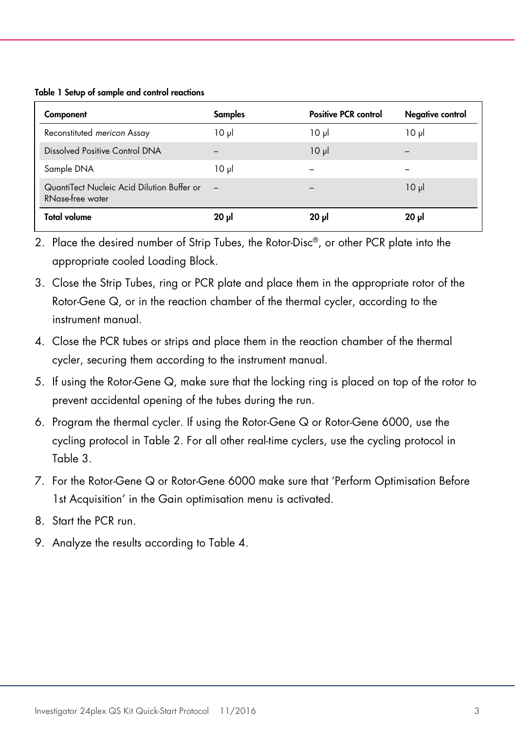### Table 1 Setup of sample and control reactions

| Component                                                      | <b>Samples</b> | <b>Positive PCR control</b> | Negative control |
|----------------------------------------------------------------|----------------|-----------------------------|------------------|
| Reconstituted mericon Assay                                    | $10 \mu$       | $10 \mu$                    | ار 10            |
| Dissolved Positive Control DNA                                 |                | $10 \mu$                    |                  |
| Sample DNA                                                     | $10 \mu$       |                             |                  |
| QuantiTect Nucleic Acid Dilution Buffer or<br>RNase-free water |                |                             | $10 \mu$         |
| Total volume                                                   | ار 20          | 20 pl                       | ار 20            |

- 2. Place the desired number of Strip Tubes, the Rotor-Disc®, or other PCR plate into the appropriate cooled Loading Block.
- 3. Close the Strip Tubes, ring or PCR plate and place them in the appropriate rotor of the Rotor-Gene Q, or in the reaction chamber of the thermal cycler, according to the instrument manual.
- 4. Close the PCR tubes or strips and place them in the reaction chamber of the thermal cycler, securing them according to the instrument manual.
- 5. If using the Rotor-Gene Q, make sure that the locking ring is placed on top of the rotor to prevent accidental opening of the tubes during the run.
- 6. Program the thermal cycler. If using the Rotor-Gene Q or Rotor-Gene 6000, use the cycling protocol in Table 2. For all other real-time cyclers, use the cycling protocol in Table 3.
- 7. For the Rotor-Gene Q or Rotor-Gene 6000 make sure that 'Perform Optimisation Before 1st Acquisition' in the Gain optimisation menu is activated.
- 8. Start the PCR run.
- 9. Analyze the results according to Table 4.